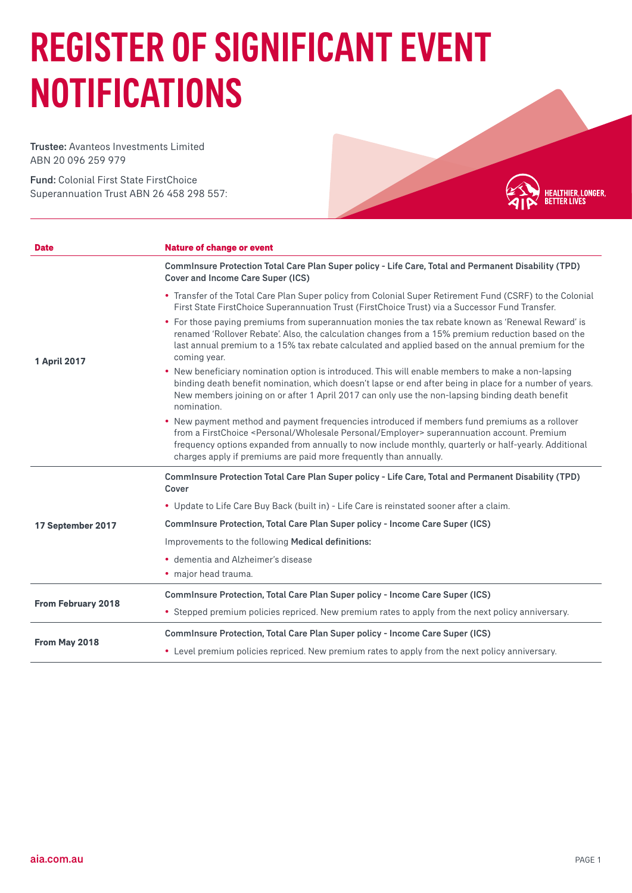## REGISTER OF SIGNIFICANT EVENT NOTIFICATIONS

Trustee: Avanteos Investments Limited ABN 20 096 259 979

Fund: Colonial First State FirstChoice Superannuation Trust ABN 26 458 298 557:



| <b>Date</b>               | <b>Nature of change or event</b>                                                                                                                                                                                                                                                                                                                                                                |
|---------------------------|-------------------------------------------------------------------------------------------------------------------------------------------------------------------------------------------------------------------------------------------------------------------------------------------------------------------------------------------------------------------------------------------------|
| <b>1 April 2017</b>       | Comminsure Protection Total Care Plan Super policy - Life Care, Total and Permanent Disability (TPD)<br>Cover and Income Care Super (ICS)                                                                                                                                                                                                                                                       |
|                           | • Transfer of the Total Care Plan Super policy from Colonial Super Retirement Fund (CSRF) to the Colonial<br>First State FirstChoice Superannuation Trust (FirstChoice Trust) via a Successor Fund Transfer.                                                                                                                                                                                    |
|                           | • For those paying premiums from superannuation monies the tax rebate known as 'Renewal Reward' is<br>renamed 'Rollover Rebate'. Also, the calculation changes from a 15% premium reduction based on the<br>last annual premium to a 15% tax rebate calculated and applied based on the annual premium for the<br>coming year.                                                                  |
|                           | • New beneficiary nomination option is introduced. This will enable members to make a non-lapsing<br>binding death benefit nomination, which doesn't lapse or end after being in place for a number of years.<br>New members joining on or after 1 April 2017 can only use the non-lapsing binding death benefit<br>nomination.                                                                 |
|                           | • New payment method and payment frequencies introduced if members fund premiums as a rollover<br>from a FirstChoice <personal employer="" personal="" wholesale=""> superannuation account. Premium<br/>frequency options expanded from annually to now include monthly, quarterly or half-yearly. Additional<br/>charges apply if premiums are paid more frequently than annually.</personal> |
| 17 September 2017         | Comminsure Protection Total Care Plan Super policy - Life Care, Total and Permanent Disability (TPD)<br>Cover                                                                                                                                                                                                                                                                                   |
|                           | . Update to Life Care Buy Back (built in) - Life Care is reinstated sooner after a claim.                                                                                                                                                                                                                                                                                                       |
|                           | Comminsure Protection, Total Care Plan Super policy - Income Care Super (ICS)                                                                                                                                                                                                                                                                                                                   |
|                           | Improvements to the following Medical definitions:                                                                                                                                                                                                                                                                                                                                              |
|                           | • dementia and Alzheimer's disease                                                                                                                                                                                                                                                                                                                                                              |
|                           | · major head trauma.                                                                                                                                                                                                                                                                                                                                                                            |
| <b>From February 2018</b> | Comminsure Protection, Total Care Plan Super policy - Income Care Super (ICS)                                                                                                                                                                                                                                                                                                                   |
|                           | • Stepped premium policies repriced. New premium rates to apply from the next policy anniversary.                                                                                                                                                                                                                                                                                               |
| From May 2018             | Comminsure Protection, Total Care Plan Super policy - Income Care Super (ICS)                                                                                                                                                                                                                                                                                                                   |
|                           | • Level premium policies repriced. New premium rates to apply from the next policy anniversary.                                                                                                                                                                                                                                                                                                 |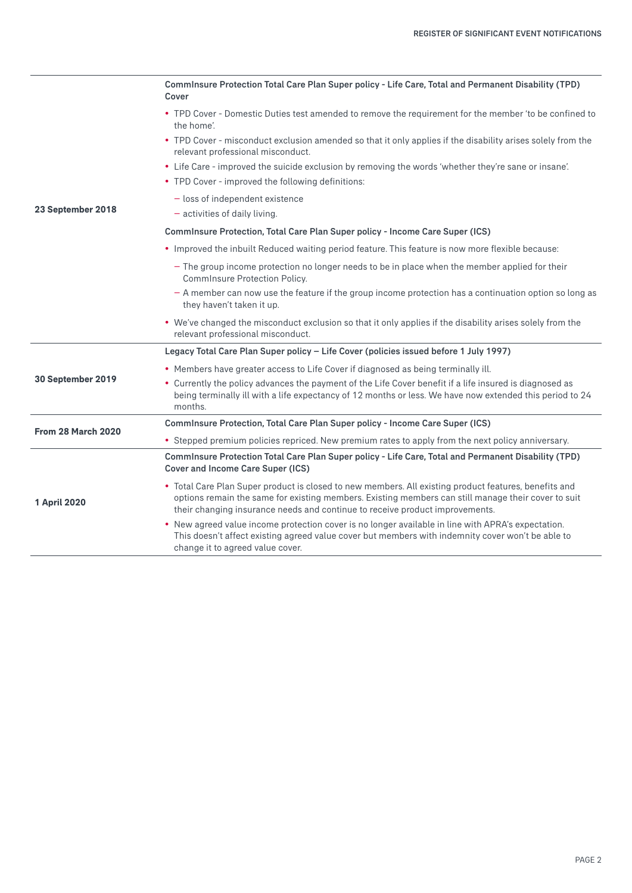| 23 September 2018  | Comminsure Protection Total Care Plan Super policy - Life Care, Total and Permanent Disability (TPD)<br>Cover                                                                                                                                                                                |
|--------------------|----------------------------------------------------------------------------------------------------------------------------------------------------------------------------------------------------------------------------------------------------------------------------------------------|
|                    | • TPD Cover - Domestic Duties test amended to remove the requirement for the member 'to be confined to<br>the home'.                                                                                                                                                                         |
|                    | • TPD Cover - misconduct exclusion amended so that it only applies if the disability arises solely from the<br>relevant professional misconduct.                                                                                                                                             |
|                    | • Life Care - improved the suicide exclusion by removing the words 'whether they're sane or insane'.                                                                                                                                                                                         |
|                    | • TPD Cover - improved the following definitions:                                                                                                                                                                                                                                            |
|                    | - loss of independent existence                                                                                                                                                                                                                                                              |
|                    | - activities of daily living.                                                                                                                                                                                                                                                                |
|                    | Comminsure Protection, Total Care Plan Super policy - Income Care Super (ICS)                                                                                                                                                                                                                |
|                    | • Improved the inbuilt Reduced waiting period feature. This feature is now more flexible because:                                                                                                                                                                                            |
|                    | - The group income protection no longer needs to be in place when the member applied for their<br>CommInsure Protection Policy.                                                                                                                                                              |
|                    | - A member can now use the feature if the group income protection has a continuation option so long as<br>they haven't taken it up.                                                                                                                                                          |
|                    | • We've changed the misconduct exclusion so that it only applies if the disability arises solely from the<br>relevant professional misconduct.                                                                                                                                               |
| 30 September 2019  | Legacy Total Care Plan Super policy - Life Cover (policies issued before 1 July 1997)                                                                                                                                                                                                        |
|                    | • Members have greater access to Life Cover if diagnosed as being terminally ill.                                                                                                                                                                                                            |
|                    | • Currently the policy advances the payment of the Life Cover benefit if a life insured is diagnosed as<br>being terminally ill with a life expectancy of 12 months or less. We have now extended this period to 24<br>months.                                                               |
| From 28 March 2020 | Comminsure Protection, Total Care Plan Super policy - Income Care Super (ICS)                                                                                                                                                                                                                |
|                    | • Stepped premium policies repriced. New premium rates to apply from the next policy anniversary.                                                                                                                                                                                            |
| 1 April 2020       | Comminsure Protection Total Care Plan Super policy - Life Care, Total and Permanent Disability (TPD)<br>Cover and Income Care Super (ICS)                                                                                                                                                    |
|                    | • Total Care Plan Super product is closed to new members. All existing product features, benefits and<br>options remain the same for existing members. Existing members can still manage their cover to suit<br>their changing insurance needs and continue to receive product improvements. |
|                    | • New agreed value income protection cover is no longer available in line with APRA's expectation.<br>This doesn't affect existing agreed value cover but members with indemnity cover won't be able to<br>change it to agreed value cover.                                                  |